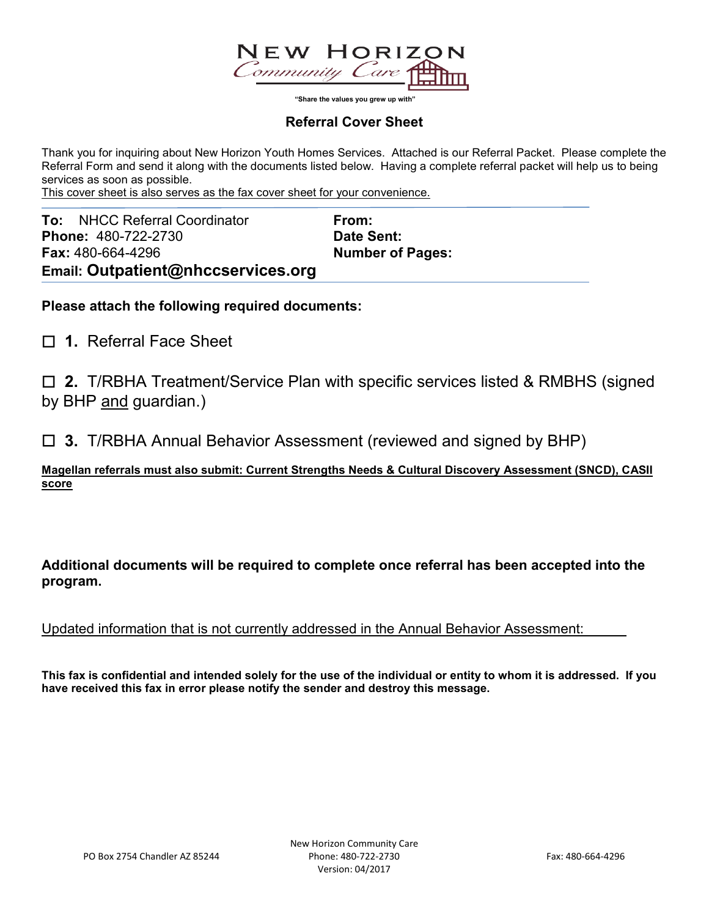

 **"Share the values you grew up with"**

## **Referral Cover Sheet**

Thank you for inquiring about New Horizon Youth Homes Services. Attached is our Referral Packet. Please complete the Referral Form and send it along with the documents listed below. Having a complete referral packet will help us to being services as soon as possible.

This cover sheet is also serves as the fax cover sheet for your convenience.

| <b>To:</b> NHCC Referral Coordinator | From:                   |
|--------------------------------------|-------------------------|
| <b>Phone: 480-722-2730</b>           | Date Sent:              |
| <b>Fax: 480-664-4296</b>             | <b>Number of Pages:</b> |
| Email: Outpatient@nhccservices.org   |                         |

**Please attach the following required documents:**

☐ **1.** Referral Face Sheet

☐ **2.** T/RBHA Treatment/Service Plan with specific services listed & RMBHS (signed by BHP and guardian.)

☐ **3.** T/RBHA Annual Behavior Assessment (reviewed and signed by BHP)

**Magellan referrals must also submit: Current Strengths Needs & Cultural Discovery Assessment (SNCD), CASII score**

**Additional documents will be required to complete once referral has been accepted into the program.**

Updated information that is not currently addressed in the Annual Behavior Assessment:

**This fax is confidential and intended solely for the use of the individual or entity to whom it is addressed. If you have received this fax in error please notify the sender and destroy this message.**